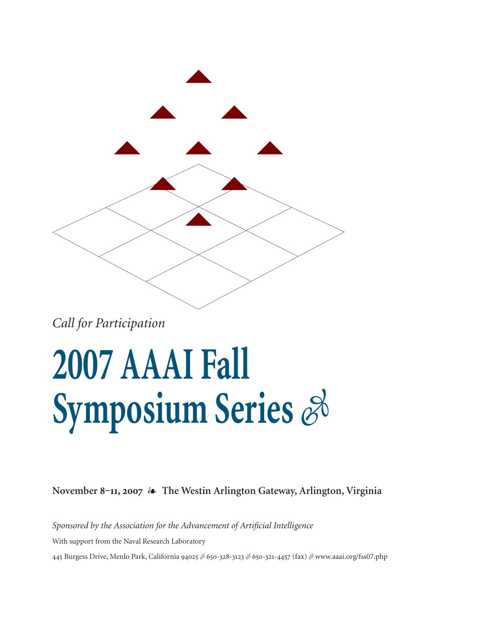

*Call for Participation*

### **2007 AAAI Fall Symposium Series**  $\mathscr{E}$

**November 8‒11, 2007 The Westin Arlington Gateway, Arlington, Virginia**

*Sponsored by the Association for the Advancement of Artificial Intelligence* With support from the Naval Research Laboratory 445 Burgess Drive, Menlo Park, California 94025 & 650-328-3123 & 650-321-4457 (fax) & www.aaai.org/fss07.php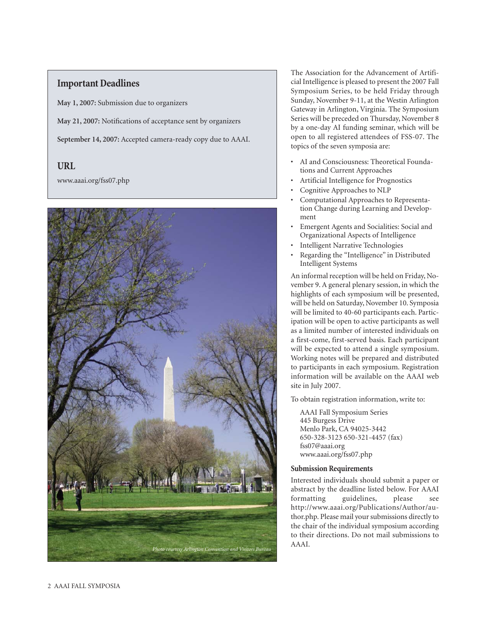### **Important Deadlines**

**May 1, 2007:** Submission due to organizers

**May 21, 2007:** Notifications of acceptance sent by organizers

**September 14, 2007:** Accepted camera-ready copy due to AAAI.

### **URL**

www.aaai.org/fss07.php



The Association for the Advancement of Artificial Intelligence is pleased to present the 2007 Fall Symposium Series, to be held Friday through Sunday, November 9-11, at the Westin Arlington Gateway in Arlington, Virginia. The Symposium Series will be preceded on Thursday, November 8 by a one-day AI funding seminar, which will be open to all registered attendees of FSS-07. The topics of the seven symposia are:

- AI and Consciousness: Theoretical Foundations and Current Approaches
- Artificial Intelligence for Prognostics
- Cognitive Approaches to NLP
- Computational Approaches to Representation Change during Learning and Development
- Emergent Agents and Socialities: Social and Organizational Aspects of Intelligence
- Intelligent Narrative Technologies
- Regarding the "Intelligence" in Distributed Intelligent Systems

An informal reception will be held on Friday, November 9. A general plenary session, in which the highlights of each symposium will be presented, will be held on Saturday, November 10. Symposia will be limited to 40-60 participants each. Participation will be open to active participants as well as a limited number of interested individuals on a first-come, first-served basis. Each participant will be expected to attend a single symposium. Working notes will be prepared and distributed to participants in each symposium. Registration information will be available on the AAAI web site in July 2007.

To obtain registration information, write to:

AAAI Fall Symposium Series 445 Burgess Drive Menlo Park, CA 94025-3442 650-328-3123 650-321-4457 (fax) fss07@aaai.org www.aaai.org/fss07.php

### **Submission Requirements**

Interested individuals should submit a paper or abstract by the deadline listed below. For AAAI formatting guidelines, please see http://www.aaai.org/Publications/Author/author.php. Please mail your submissions directly to the chair of the individual symposium according to their directions. Do not mail submissions to AAAI.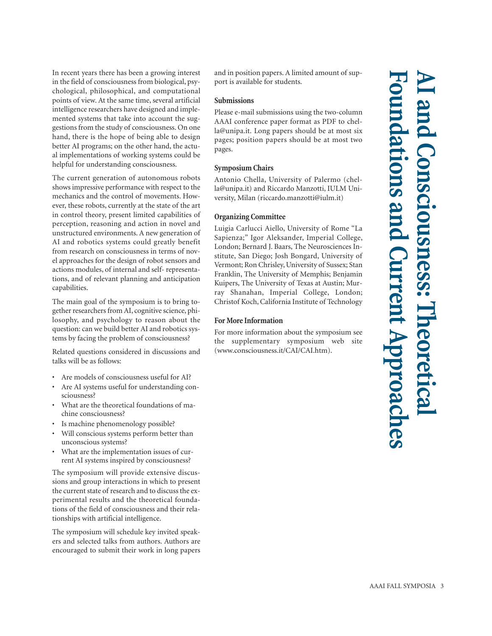In recent years there has been a growing interest in the field of consciousness from biological, psychological, philosophical, and computational points of view. At the same time, several artificial intelligence researchers have designed and implemented systems that take into account the suggestions from the study of consciousness. On one hand, there is the hope of being able to design better AI programs; on the other hand, the actual implementations of working systems could be helpful for understanding consciousness.

The current generation of autonomous robots shows impressive performance with respect to the mechanics and the control of movements. However, these robots, currently at the state of the art in control theory, present limited capabilities of perception, reasoning and action in novel and unstructured environments. A new generation of AI and robotics systems could greatly benefit from research on consciousness in terms of novel approaches for the design of robot sensors and actions modules, of internal and self- representations, and of relevant planning and anticipation capabilities.

The main goal of the symposium is to bring together researchers from AI, cognitive science, philosophy, and psychology to reason about the question: can we build better AI and robotics systems by facing the problem of consciousness?

Related questions considered in discussions and talks will be as follows:

- Are models of consciousness useful for AI?
- Are AI systems useful for understanding consciousness?
- What are the theoretical foundations of machine consciousness?
- Is machine phenomenology possible?
- Will conscious systems perform better than unconscious systems?
- What are the implementation issues of current AI systems inspired by consciousness?

The symposium will provide extensive discussions and group interactions in which to present the current state of research and to discuss the experimental results and the theoretical foundations of the field of consciousness and their relationships with artificial intelligence.

The symposium will schedule key invited speakers and selected talks from authors. Authors are encouraged to submit their work in long papers

and in position papers. A limited amount of support is available for students.

### **Submissions**

Please e-mail submissions using the two-column AAAI conference paper format as PDF to chella@unipa.it. Long papers should be at most six pages; position papers should be at most two pages.

### **Symposium Chairs**

Antonio Chella, University of Palermo (chella@unipa.it) and Riccardo Manzotti, IULM University, Milan (riccardo.manzotti@iulm.it)

### **Organizing Committee**

Luigia Carlucci Aiello, University of Rome "La Sapienza;" Igor Aleksander, Imperial College, London; Bernard J. Baars, The Neurosciences Institute, San Diego; Josh Bongard, University of Vermont; Ron Chrisley, University of Sussex; Stan Franklin, The University of Memphis; Benjamin Kuipers, The University of Texas at Austin; Murray Shanahan, Imperial College, London; Christof Koch, California Institute of Technology

### **For More Information**

For more information about the symposium see the supplementary symposium web site (www.consciousness.it/CAI/CAI.htm).

## **AI and Consciousness: Theoretical Foundations and Current Approaches** onsciousness: Theoret **Sand urrent Approach**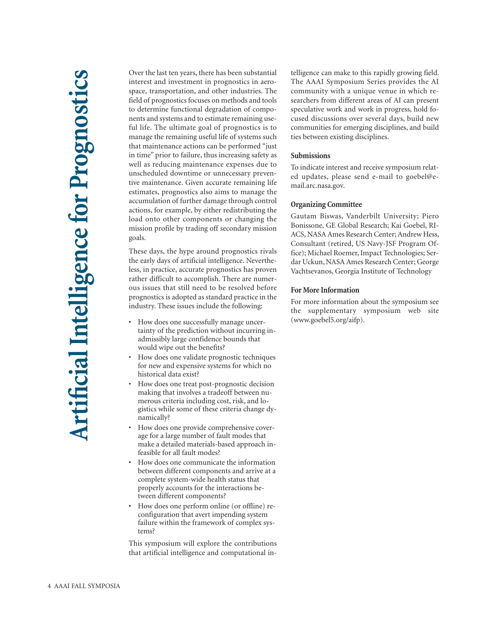Over the last ten years, there has been substantial interest and investment in prognostics in aerospace, transportation, and other industries. The field of prognostics focuses on methods and tools to determine functional degradation of components and systems and to estimate remaining useful life. The ultimate goal of prognostics is to manage the remaining useful life of systems such that maintenance actions can be performed "just in time" prior to failure, thus increasing safety as well as reducing maintenance expenses due to unscheduled downtime or unnecessary preventive maintenance. Given accurate remaining life estimates, prognostics also aims to manage the accumulation of further damage through control actions, for example, by either redistributing the load onto other components or changing the mission profile by trading off secondary mission goals.

These days, the hype around prognostics rivals the early days of artificial intelligence. Nevertheless, in practice, accurate prognostics has proven rather difficult to accomplish. There are numerous issues that still need to be resolved before prognostics is adopted as standard practice in the industry. These issues include the following:

- How does one successfully manage uncertainty of the prediction without incurring inadmissibly large confidence bounds that would wipe out the benefits?
- How does one validate prognostic techniques for new and expensive systems for which no historical data exist?
- How does one treat post-prognostic decision making that involves a tradeoff between numerous criteria including cost, risk, and logistics while some of these criteria change dynamically?
- How does one provide comprehensive coverage for a large number of fault modes that make a detailed materials-based approach infeasible for all fault modes?
- How does one communicate the information between different components and arrive at a complete system-wide health status that properly accounts for the interactions between different components?
- How does one perform online (or offline) reconfiguration that avert impending system failure within the framework of complex systems?

This symposium will explore the contributions that artificial intelligence and computational intelligence can make to this rapidly growing field. The AAAI Symposium Series provides the AI community with a unique venue in which researchers from different areas of AI can present speculative work and work in progress, hold focused discussions over several days, build new communities for emerging disciplines, and build ties between existing disciplines.

### **Submissions**

To indicate interest and receive symposium related updates, please send e-mail to goebel@email.arc.nasa.gov.

### **Organizing Committee**

Gautam Biswas, Vanderbilt University; Piero Bonissone, GE Global Research; Kai Goebel, RI-ACS, NASA Ames Research Center; Andrew Hess, Consultant (retired, US Navy-JSF Program Office); Michael Roemer, Impact Technologies; Serdar Uckun, NASA Ames Research Center; George Vachtsevanos, Georgia Institute of Technology

### **For More Information**

For more information about the symposium see the supplementary symposium web site (www.goebel5.org/aifp).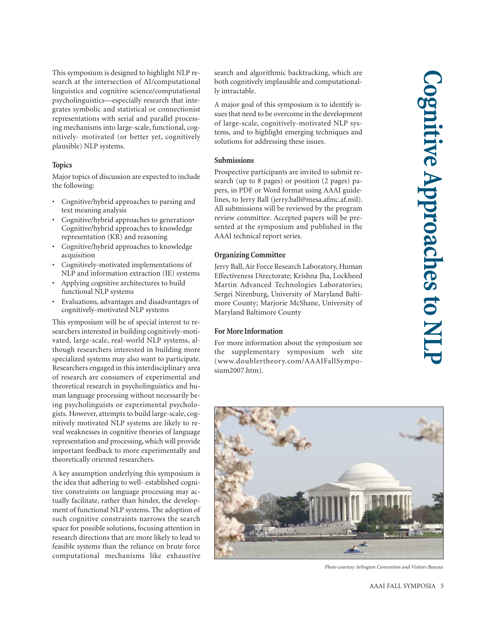This symposium is designed to highlight NLP research at the intersection of AI/computational linguistics and cognitive science/computational psycholinguistics—especially research that integrates symbolic and statistical or connectionist representations with serial and parallel processing mechanisms into large-scale, functional, cognitively- motivated (or better yet, cognitively plausible) NLP systems.

### **Topics**

Major topics of discussion are expected to include the following:

- Cognitive/hybrid approaches to parsing and text meaning analysis
- Cognitive/hybrid approaches to generation• Cognitive/hybrid approaches to knowledge representation (KR) and reasoning
- Cognitive/hybrid approaches to knowledge acquisition
- Cognitively-motivated implementations of NLP and information extraction (IE) systems
- Applying cognitive architectures to build functional NLP systems
- Evaluations, advantages and disadvantages of cognitively-motivated NLP systems

This symposium will be of special interest to researchers interested in building cognitively-motivated, large-scale, real-world NLP systems, although researchers interested in building more specialized systems may also want to participate. Researchers engaged in this interdisciplinary area of research are consumers of experimental and theoretical research in psycholinguistics and human language processing without necessarily being psycholinguists or experimental psychologists. However, attempts to build large-scale, cognitively motivated NLP systems are likely to reveal weaknesses in cognitive theories of language representation and processing, which will provide important feedback to more experimentally and theoretically oriented researchers.

A key assumption underlying this symposium is the idea that adhering to well- established cognitive constraints on language processing may actually facilitate, rather than hinder, the development of functional NLP systems. The adoption of such cognitive constraints narrows the search space for possible solutions, focusing attention in research directions that are more likely to lead to feasible systems than the reliance on brute force computational mechanisms like exhaustive

search and algorithmic backtracking, which are both cognitively implausible and computationally intractable.

A major goal of this symposium is to identify issues that need to be overcome in the development of large-scale, cognitively-motivated NLP systems, and to highlight emerging techniques and solutions for addressing these issues.

### **Submissions**

Prospective participants are invited to submit research (up to 8 pages) or position (2 pages) papers, in PDF or Word format using AAAI guidelines, to Jerry Ball (jerry.ball@mesa.afmc.af.mil). All submissions will be reviewed by the program review committee. Accepted papers will be presented at the symposium and published in the AAAI technical report series.

### **Organizing Committee**

Jerry Ball, Air Force Research Laboratory, Human Effectiveness Directorate; Krishna Jha, Lockheed Martin Advanced Technologies Laboratories; Sergei Nirenburg, University of Maryland Baltimore County; Marjorie McShane, University of Maryland Baltimore County

### **For More Information**

For more information about the symposium see the supplementary symposium web site (www.doublertheory.com/AAAIFallSymposium2007.htm).



*Photo courtesy Arlington Convention and Visitors Bureau*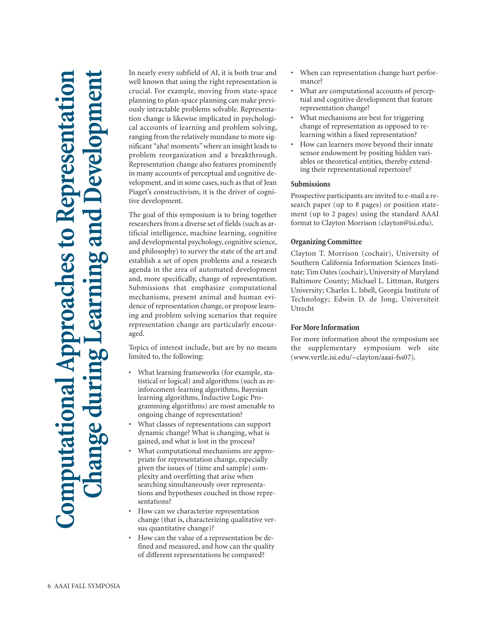# **Computational Approaches to Representation Change during Learning and Development** nputational Approaches to Representatio ng an

In nearly every subfield of AI, it is both true and well known that using the right representation is crucial. For example, moving from state-space planning to plan-space planning can make previously intractable problems solvable. Representation change is likewise implicated in psychological accounts of learning and problem solving, ranging from the relatively mundane to more significant "aha! moments" where an insight leads to problem reorganization and a breakthrough. Representation change also features prominently in many accounts of perceptual and cognitive development, and in some cases, such as that of Jean Piaget's constructivism, it is the driver of cognitive development.

The goal of this symposium is to bring together researchers from a diverse set of fields (such as artificial intelligence, machine learning, cognitive and developmental psychology, cognitive science, and philosophy) to survey the state of the art and establish a set of open problems and a research agenda in the area of automated development and, more specifically, change of representation. Submissions that emphasize computational mechanisms, present animal and human evidence of representation change, or propose learning and problem solving scenarios that require representation change are particularly encouraged.

Topics of interest include, but are by no means limited to, the following:

- What learning frameworks (for example, statistical or logical) and algorithms (such as reinforcement-learning algorithms, Bayesian learning algorithms, Inductive Logic Programming algorithms) are most amenable to ongoing change of representation?
- What classes of representations can support dynamic change? What is changing, what is gained, and what is lost in the process?
- What computational mechanisms are appropriate for representation change, especially given the issues of (time and sample) complexity and overfitting that arise when searching simultaneously over representations and hypotheses couched in those representations?
- How can we characterize representation change (that is, characterizing qualitative versus quantitative change)?
- How can the value of a representation be defined and measured, and how can the quality of different representations be compared?
- When can representation change hurt performance?
- What are computational accounts of perceptual and cognitive development that feature representation change?
- What mechanisms are best for triggering change of representation as opposed to relearning within a fixed representation?
- How can learners move beyond their innate sensor endowment by positing hidden variables or theoretical entities, thereby extending their representational repertoire?

### **Submissions**

Prospective participants are invited to e-mail a research paper (up to 8 pages) or position statement (up to 2 pages) using the standard AAAI format to Clayton Morrison (clayton@isi.edu).

### **Organizing Committee**

Clayton T. Morrison (cochair), University of Southern California Information Sciences Institute; Tim Oates (cochair), University of Maryland Baltimore County; Michael L. Littman, Rutgers University; Charles L. Isbell, Georgia Institute of Technology; Edwin D. de Jong, Universiteit Utrecht

### **For More Information**

For more information about the symposium see the supplementary symposium web site (www.vertle.isi.edu/~clayton/aaai-fss07).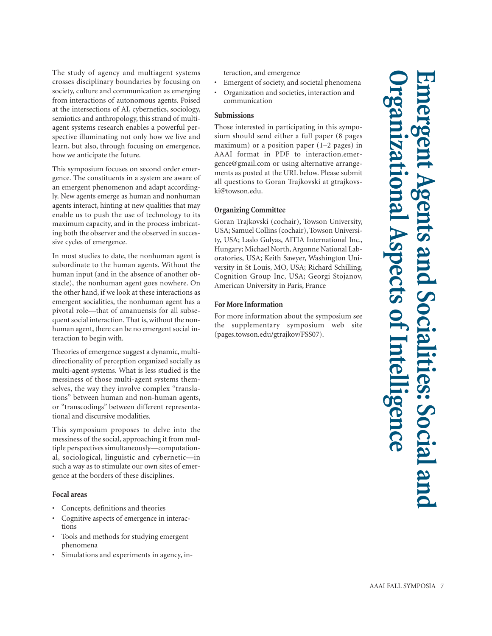The study of agency and multiagent systems crosses disciplinary boundaries by focusing on society, culture and communication as emerging from interactions of autonomous agents. Poised at the intersections of AI, cybernetics, sociology, semiotics and anthropology, this strand of multiagent systems research enables a powerful perspective illuminating not only how we live and learn, but also, through focusing on emergence, how we anticipate the future.

This symposium focuses on second order emergence. The constituents in a system are aware of an emergent phenomenon and adapt accordingly. New agents emerge as human and nonhuman agents interact, hinting at new qualities that may enable us to push the use of technology to its maximum capacity, and in the process imbricating both the observer and the observed in successive cycles of emergence.

In most studies to date, the nonhuman agent is subordinate to the human agents. Without the human input (and in the absence of another obstacle), the nonhuman agent goes nowhere. On the other hand, if we look at these interactions as emergent socialities, the nonhuman agent has a pivotal role—that of amanuensis for all subsequent social interaction. That is, without the nonhuman agent, there can be no emergent social interaction to begin with.

Theories of emergence suggest a dynamic, multidirectionality of perception organized socially as multi-agent systems. What is less studied is the messiness of those multi-agent systems themselves, the way they involve complex "translations" between human and non-human agents, or "transcodings" between different representational and discursive modalities.

This symposium proposes to delve into the messiness of the social, approaching it from multiple perspectives simultaneously—computational, sociological, linguistic and cybernetic—in such a way as to stimulate our own sites of emergence at the borders of these disciplines.

### **Focal areas**

- Concepts, definitions and theories
- Cognitive aspects of emergence in interactions
- Tools and methods for studying emergent phenomena
- Simulations and experiments in agency, in-

teraction, and emergence

- Emergent of society, and societal phenomena
- Organization and societies, interaction and communication

### **Submissions**

Those interested in participating in this symposium should send either a full paper (8 pages maximum) or a position paper (1–2 pages) in AAAI format in PDF to interaction.emergence@gmail.com or using alternative arrangements as posted at the URL below. Please submit all questions to Goran Trajkovski at gtrajkovski@towson.edu.

### **Organizing Committee**

Goran Trajkovski (cochair), Towson University, USA; Samuel Collins (cochair), Towson University, USA; Laslo Gulyas, AITIA International Inc., Hungary; Michael North, Argonne National Laboratories, USA; Keith Sawyer, Washington University in St Louis, MO, USA; Richard Schilling, Cognition Group Inc, USA; Georgi Stojanov, American University in Paris, France

### **For More Information**

For more information about the symposium see the supplementary symposium web site (pages.towson.edu/gtrajkov/FSS07).

**Emergent Agents and Socialities: Social and Organizational Aspects of Intelligence and Sc** SDECTS ss: Social ar <u>1991</u>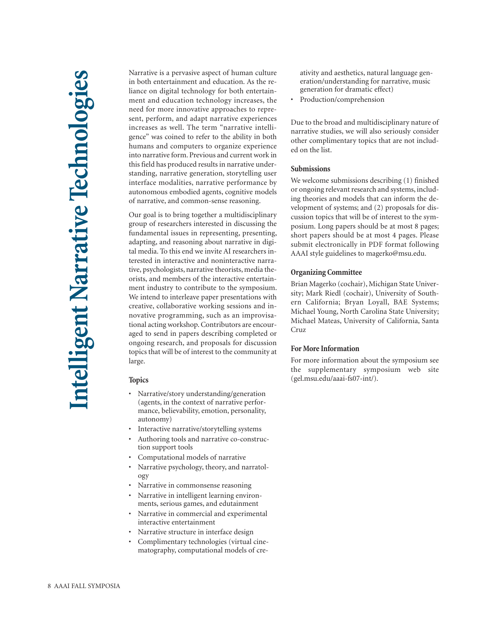Narrative is a pervasive aspect of human culture in both entertainment and education. As the reliance on digital technology for both entertainment and education technology increases, the need for more innovative approaches to represent, perform, and adapt narrative experiences increases as well. The term "narrative intelligence" was coined to refer to the ability in both humans and computers to organize experience into narrative form. Previous and current work in this field has produced results in narrative understanding, narrative generation, storytelling user interface modalities, narrative performance by autonomous embodied agents, cognitive models of narrative, and common-sense reasoning.

Our goal is to bring together a multidisciplinary group of researchers interested in discussing the fundamental issues in representing, presenting, adapting, and reasoning about narrative in digital media. To this end we invite AI researchers interested in interactive and noninteractive narrative, psychologists, narrative theorists, media theorists, and members of the interactive entertainment industry to contribute to the symposium. We intend to interleave paper presentations with creative, collaborative working sessions and innovative programming, such as an improvisational acting workshop. Contributors are encouraged to send in papers describing completed or ongoing research, and proposals for discussion topics that will be of interest to the community at large.

### **Topics**

- Narrative/story understanding/generation (agents, in the context of narrative performance, believability, emotion, personality, autonomy)
- Interactive narrative/storytelling systems
- Authoring tools and narrative co-construction support tools
- Computational models of narrative
- Narrative psychology, theory, and narratology
- Narrative in commonsense reasoning
- Narrative in intelligent learning environments, serious games, and edutainment
- Narrative in commercial and experimental interactive entertainment
- Narrative structure in interface design
- Complimentary technologies (virtual cinematography, computational models of cre-

ativity and aesthetics, natural language generation/understanding for narrative, music generation for dramatic effect)

• Production/comprehension

Due to the broad and multidisciplinary nature of narrative studies, we will also seriously consider other complimentary topics that are not included on the list.

### **Submissions**

We welcome submissions describing (1) finished or ongoing relevant research and systems, including theories and models that can inform the development of systems; and (2) proposals for discussion topics that will be of interest to the symposium. Long papers should be at most 8 pages; short papers should be at most 4 pages. Please submit electronically in PDF format following AAAI style guidelines to magerko@msu.edu.

### **Organizing Committee**

Brian Magerko (cochair), Michigan State University; Mark Riedl (cochair), University of Southern California; Bryan Loyall, BAE Systems; Michael Young, North Carolina State University; Michael Mateas, University of California, Santa Cruz

### **For More Information**

For more information about the symposium see the supplementary symposium web site (gel.msu.edu/aaai-fs07-int/).